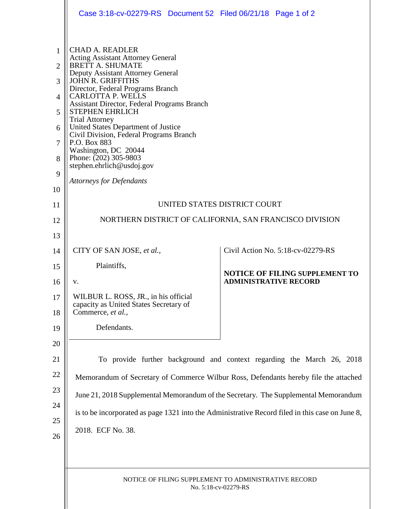|                                                                         | Case 3:18-cv-02279-RS  Document 52  Filed 06/21/18  Page 1 of 2                                                                                                                                                                                                                                                                                                                                                                                                                                                                                             |                              |                                       |  |  |  |
|-------------------------------------------------------------------------|-------------------------------------------------------------------------------------------------------------------------------------------------------------------------------------------------------------------------------------------------------------------------------------------------------------------------------------------------------------------------------------------------------------------------------------------------------------------------------------------------------------------------------------------------------------|------------------------------|---------------------------------------|--|--|--|
| $\mathbf{1}$<br>$\overline{2}$<br>3<br>4<br>5<br>6<br>7<br>8<br>9<br>10 | <b>CHAD A. READLER</b><br><b>Acting Assistant Attorney General</b><br><b>BRETT A. SHUMATE</b><br>Deputy Assistant Attorney General<br><b>JOHN R. GRIFFITHS</b><br>Director, Federal Programs Branch<br><b>CARLOTTA P. WELLS</b><br><b>Assistant Director, Federal Programs Branch</b><br><b>STEPHEN EHRLICH</b><br><b>Trial Attorney</b><br>United States Department of Justice<br>Civil Division, Federal Programs Branch<br>P.O. Box 883<br>Washington, DC 20044<br>Phone: (202) 305-9803<br>stephen.ehrlich@usdoj.gov<br><b>Attorneys for Defendants</b> |                              |                                       |  |  |  |
| 11                                                                      | UNITED STATES DISTRICT COURT                                                                                                                                                                                                                                                                                                                                                                                                                                                                                                                                |                              |                                       |  |  |  |
| 12                                                                      | NORTHERN DISTRICT OF CALIFORNIA, SAN FRANCISCO DIVISION                                                                                                                                                                                                                                                                                                                                                                                                                                                                                                     |                              |                                       |  |  |  |
| 13                                                                      |                                                                                                                                                                                                                                                                                                                                                                                                                                                                                                                                                             |                              |                                       |  |  |  |
| 14                                                                      | CITY OF SAN JOSE, et al.,                                                                                                                                                                                                                                                                                                                                                                                                                                                                                                                                   |                              | Civil Action No. 5:18-cv-02279-RS     |  |  |  |
| 15                                                                      | Plaintiffs,                                                                                                                                                                                                                                                                                                                                                                                                                                                                                                                                                 |                              | <b>NOTICE OF FILING SUPPLEMENT TO</b> |  |  |  |
| 16                                                                      | v.                                                                                                                                                                                                                                                                                                                                                                                                                                                                                                                                                          | <b>ADMINISTRATIVE RECORD</b> |                                       |  |  |  |
| 17<br>18                                                                | WILBUR L. ROSS, JR., in his official<br>capacity as United States Secretary of<br>Commerce, et al.,                                                                                                                                                                                                                                                                                                                                                                                                                                                         |                              |                                       |  |  |  |
| 19                                                                      | Defendants.                                                                                                                                                                                                                                                                                                                                                                                                                                                                                                                                                 |                              |                                       |  |  |  |
| 20<br>21<br>22<br>23<br>24<br>25<br>26                                  | To provide further background and context regarding the March 26, 2018<br>Memorandum of Secretary of Commerce Wilbur Ross, Defendants hereby file the attached<br>June 21, 2018 Supplemental Memorandum of the Secretary. The Supplemental Memorandum<br>is to be incorporated as page 1321 into the Administrative Record filed in this case on June 8,<br>2018. ECF No. 38.                                                                                                                                                                               |                              |                                       |  |  |  |
|                                                                         | NOTICE OF FILING SUPPLEMENT TO ADMINISTRATIVE RECORD<br>No. 5:18-cv-02279-RS                                                                                                                                                                                                                                                                                                                                                                                                                                                                                |                              |                                       |  |  |  |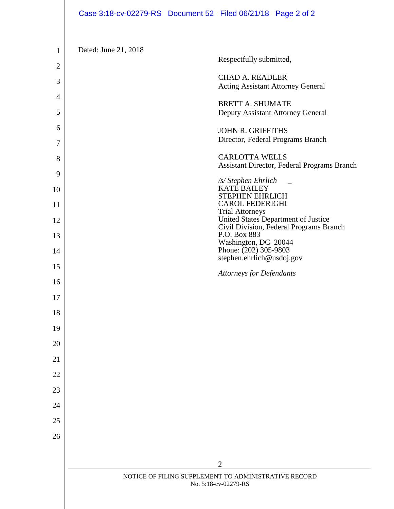|                     | Case 3:18-cv-02279-RS  Document 52  Filed 06/21/18  Page 2 of 2              |  |                                                                    |                                                                                |
|---------------------|------------------------------------------------------------------------------|--|--------------------------------------------------------------------|--------------------------------------------------------------------------------|
| 1                   | Dated: June 21, 2018                                                         |  |                                                                    |                                                                                |
| $\overline{2}$      |                                                                              |  | Respectfully submitted,                                            |                                                                                |
| 3                   |                                                                              |  | <b>CHAD A. READLER</b><br><b>Acting Assistant Attorney General</b> |                                                                                |
| $\overline{4}$<br>5 |                                                                              |  | <b>BRETT A. SHUMATE</b><br>Deputy Assistant Attorney General       |                                                                                |
| 6                   |                                                                              |  | <b>JOHN R. GRIFFITHS</b>                                           |                                                                                |
| 7                   |                                                                              |  | Director, Federal Programs Branch                                  |                                                                                |
| 8                   |                                                                              |  | <b>CARLOTTA WELLS</b>                                              | Assistant Director, Federal Programs Branch                                    |
| 9<br>10             |                                                                              |  | <u>/s/ Stephen Ehrlich<br/>KATE BAILEY</u>                         |                                                                                |
| 11                  |                                                                              |  | <b>STEPHEN EHRLICH</b><br><b>CAROL FEDERIGHI</b>                   |                                                                                |
| 12                  |                                                                              |  | <b>Trial Attorneys</b>                                             | United States Department of Justice<br>Civil Division, Federal Programs Branch |
| 13                  |                                                                              |  | P.O. Box 883<br>Washington, DC 20044                               |                                                                                |
| 14                  |                                                                              |  | Phone: (202) 305-9803<br>stephen.ehrlich@usdoj.gov                 |                                                                                |
| 15                  |                                                                              |  | <b>Attorneys for Defendants</b>                                    |                                                                                |
| 16                  |                                                                              |  |                                                                    |                                                                                |
| 17                  |                                                                              |  |                                                                    |                                                                                |
| 18                  |                                                                              |  |                                                                    |                                                                                |
| 19                  |                                                                              |  |                                                                    |                                                                                |
| 20                  |                                                                              |  |                                                                    |                                                                                |
| 21                  |                                                                              |  |                                                                    |                                                                                |
| 22                  |                                                                              |  |                                                                    |                                                                                |
| 23                  |                                                                              |  |                                                                    |                                                                                |
| 24<br>25            |                                                                              |  |                                                                    |                                                                                |
| 26                  |                                                                              |  |                                                                    |                                                                                |
|                     |                                                                              |  |                                                                    |                                                                                |
|                     |                                                                              |  | $\overline{2}$                                                     |                                                                                |
|                     | NOTICE OF FILING SUPPLEMENT TO ADMINISTRATIVE RECORD<br>No. 5:18-cv-02279-RS |  |                                                                    |                                                                                |